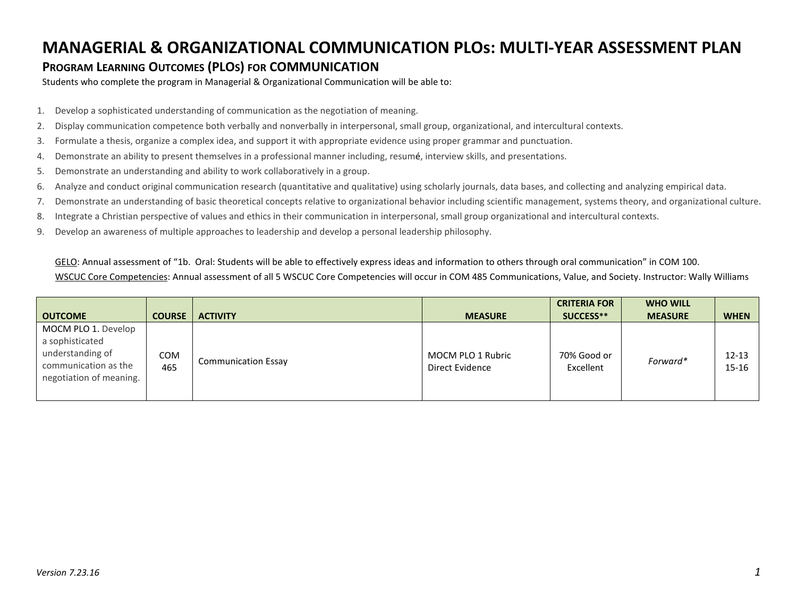## **MANAGERIAL & ORGANIZATIONAL COMMUNICATION PLOs: MULTI-YEAR ASSESSMENT PLAN**

## **PROGRAM LEARNING OUTCOMES (PLOS) FOR COMMUNICATION**

Students who complete the program in Managerial & Organizational Communication will be able to:

- 1. Develop a sophisticated understanding of communication as the negotiation of meaning.
- 2. Display communication competence both verbally and nonverbally in interpersonal, small group, organizational, and intercultural contexts.
- 3. Formulate a thesis, organize a complex idea, and support it with appropriate evidence using proper grammar and punctuation.
- 4. Demonstrate an ability to present themselves in a professional manner including, resumé, interview skills, and presentations.
- 5. Demonstrate an understanding and ability to work collaboratively in a group.
- 6. Analyze and conduct original communication research (quantitative and qualitative) using scholarly journals, data bases, and collecting and analyzing empirical data.
- 7. Demonstrate an understanding of basic theoretical concepts relative to organizational behavior including scientific management, systems theory, and organizational culture.
- 8. Integrate a Christian perspective of values and ethics in their communication in interpersonal, small group organizational and intercultural contexts.
- 9. Develop an awareness of multiple approaches to leadership and develop a personal leadership philosophy.

GELO: Annual assessment of "1b. Oral: Students will be able to effectively express ideas and information to others through oral communication" in COM 100. WSCUC Core Competencies: Annual assessment of all 5 WSCUC Core Competencies will occur in COM 485 Communications, Value, and Society. Instructor: Wally Williams

|                                                                                                               |               |                            |                                      | <b>CRITERIA FOR</b>      | <b>WHO WILL</b> |                    |
|---------------------------------------------------------------------------------------------------------------|---------------|----------------------------|--------------------------------------|--------------------------|-----------------|--------------------|
| <b>OUTCOME</b>                                                                                                | <b>COURSE</b> | <b>ACTIVITY</b>            | <b>MEASURE</b>                       | SUCCESS**                | <b>MEASURE</b>  | <b>WHEN</b>        |
| MOCM PLO 1. Develop<br>a sophisticated<br>understanding of<br>communication as the<br>negotiation of meaning. | COM<br>465    | <b>Communication Essay</b> | MOCM PLO 1 Rubric<br>Direct Evidence | 70% Good or<br>Excellent | Forward*        | $12 - 13$<br>15-16 |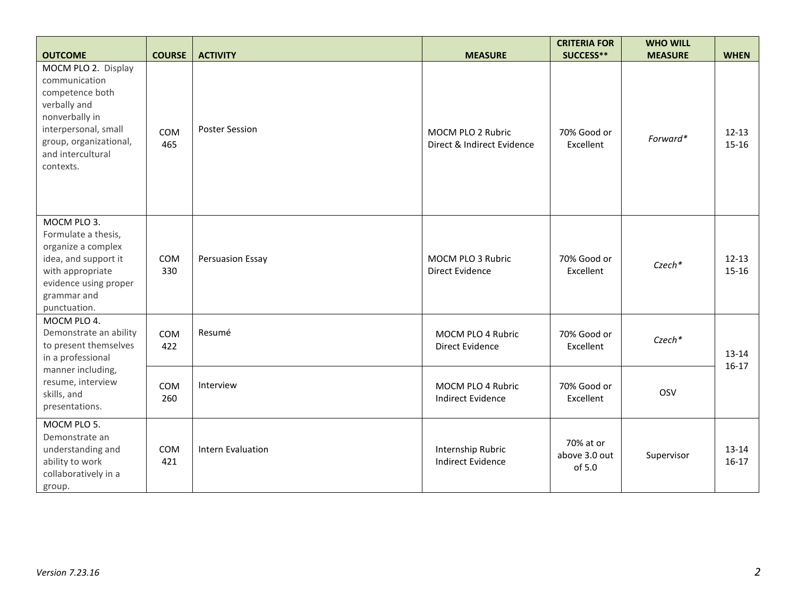| <b>OUTCOME</b>                                                                                                                                                                | <b>COURSE</b>     | <b>ACTIVITY</b>       | <b>MEASURE</b>                                  | <b>CRITERIA FOR</b><br>SUCCESS**     | <b>WHO WILL</b><br><b>MEASURE</b> | <b>WHEN</b>        |
|-------------------------------------------------------------------------------------------------------------------------------------------------------------------------------|-------------------|-----------------------|-------------------------------------------------|--------------------------------------|-----------------------------------|--------------------|
| MOCM PLO 2. Display<br>communication<br>competence both<br>verbally and<br>nonverbally in<br>interpersonal, small<br>group, organizational,<br>and intercultural<br>contexts. | COM<br>465        | <b>Poster Session</b> | MOCM PLO 2 Rubric<br>Direct & Indirect Evidence | 70% Good or<br>Excellent             | Forward*                          | $12 - 13$<br>15-16 |
| MOCM PLO 3.<br>Formulate a thesis,<br>organize a complex<br>idea, and support it<br>with appropriate<br>evidence using proper<br>grammar and<br>punctuation.                  | <b>COM</b><br>330 | Persuasion Essay      | MOCM PLO 3 Rubric<br><b>Direct Evidence</b>     | 70% Good or<br>Excellent             | Czech*                            | $12 - 13$<br>15-16 |
| MOCM PLO 4.<br>Demonstrate an ability<br>to present themselves<br>in a professional<br>manner including,<br>resume, interview<br>skills, and<br>presentations.                | COM<br>422        | Resumé                | MOCM PLO 4 Rubric<br><b>Direct Evidence</b>     | 70% Good or<br>Excellent             | Czech*                            | 13-14              |
|                                                                                                                                                                               | <b>COM</b><br>260 | Interview             | MOCM PLO 4 Rubric<br>Indirect Evidence          | 70% Good or<br>Excellent             | OSV                               | $16-17$            |
| MOCM PLO 5.<br>Demonstrate an<br>understanding and<br>ability to work<br>collaboratively in a<br>group.                                                                       | <b>COM</b><br>421 | Intern Evaluation     | Internship Rubric<br><b>Indirect Evidence</b>   | 70% at or<br>above 3.0 out<br>of 5.0 | Supervisor                        | 13-14<br>$16-17$   |